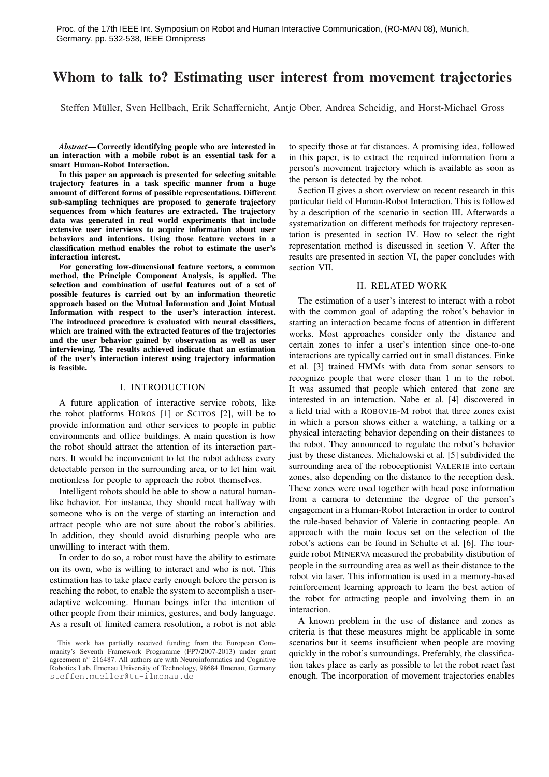# Whom to talk to? Estimating user interest from movement trajectories

Steffen Muller, Sven Hellbach, Erik Schaffernicht, Antje Ober, Andrea Scheidig, and Horst-Michael Gross ¨

*Abstract*— Correctly identifying people who are interested in an interaction with a mobile robot is an essential task for a smart Human-Robot Interaction.

In this paper an approach is presented for selecting suitable trajectory features in a task specific manner from a huge amount of different forms of possible representations. Different sub-sampling techniques are proposed to generate trajectory sequences from which features are extracted. The trajectory data was generated in real world experiments that include extensive user interviews to acquire information about user behaviors and intentions. Using those feature vectors in a classification method enables the robot to estimate the user's interaction interest.

For generating low-dimensional feature vectors, a common method, the Principle Component Analysis, is applied. The selection and combination of useful features out of a set of possible features is carried out by an information theoretic approach based on the Mutual Information and Joint Mutual Information with respect to the user's interaction interest. The introduced procedure is evaluated with neural classifiers, which are trained with the extracted features of the trajectories and the user behavior gained by observation as well as user interviewing. The results achieved indicate that an estimation of the user's interaction interest using trajectory information is feasible.

#### I. INTRODUCTION

A future application of interactive service robots, like the robot platforms HOROS [1] or SCITOS [2], will be to provide information and other services to people in public environments and office buildings. A main question is how the robot should attract the attention of its interaction partners. It would be inconvenient to let the robot address every detectable person in the surrounding area, or to let him wait motionless for people to approach the robot themselves.

Intelligent robots should be able to show a natural humanlike behavior. For instance, they should meet halfway with someone who is on the verge of starting an interaction and attract people who are not sure about the robot's abilities. In addition, they should avoid disturbing people who are unwilling to interact with them.

In order to do so, a robot must have the ability to estimate on its own, who is willing to interact and who is not. This estimation has to take place early enough before the person is reaching the robot, to enable the system to accomplish a useradaptive welcoming. Human beings infer the intention of other people from their mimics, gestures, and body language. As a result of limited camera resolution, a robot is not able to specify those at far distances. A promising idea, followed in this paper, is to extract the required information from a person's movement trajectory which is available as soon as the person is detected by the robot.

Section II gives a short overview on recent research in this particular field of Human-Robot Interaction. This is followed by a description of the scenario in section III. Afterwards a systematization on different methods for trajectory representation is presented in section IV. How to select the right representation method is discussed in section V. After the results are presented in section VI, the paper concludes with section VII.

#### II. RELATED WORK

The estimation of a user's interest to interact with a robot with the common goal of adapting the robot's behavior in starting an interaction became focus of attention in different works. Most approaches consider only the distance and certain zones to infer a user's intention since one-to-one interactions are typically carried out in small distances. Finke et al. [3] trained HMMs with data from sonar sensors to recognize people that were closer than 1 m to the robot. It was assumed that people which entered that zone are interested in an interaction. Nabe et al. [4] discovered in a field trial with a ROBOVIE-M robot that three zones exist in which a person shows either a watching, a talking or a physical interacting behavior depending on their distances to the robot. They announced to regulate the robot's behavior just by these distances. Michalowski et al. [5] subdivided the surrounding area of the roboceptionist VALERIE into certain zones, also depending on the distance to the reception desk. These zones were used together with head pose information from a camera to determine the degree of the person's engagement in a Human-Robot Interaction in order to control the rule-based behavior of Valerie in contacting people. An approach with the main focus set on the selection of the robot's actions can be found in Schulte et al. [6]. The tourguide robot MINERVA measured the probability distibution of people in the surrounding area as well as their distance to the robot via laser. This information is used in a memory-based reinforcement learning approach to learn the best action of the robot for attracting people and involving them in an interaction.

A known problem in the use of distance and zones as criteria is that these measures might be applicable in some scenarios but it seems insufficient when people are moving quickly in the robot's surroundings. Preferably, the classification takes place as early as possible to let the robot react fast enough. The incorporation of movement trajectories enables

This work has partially received funding from the European Community's Seventh Framework Programme (FP7/2007-2013) under grant agreement n◦ 216487. All authors are with Neuroinformatics and Cognitive Robotics Lab, Ilmenau University of Technology, 98684 Ilmenau, Germany steffen.mueller@tu-ilmenau.de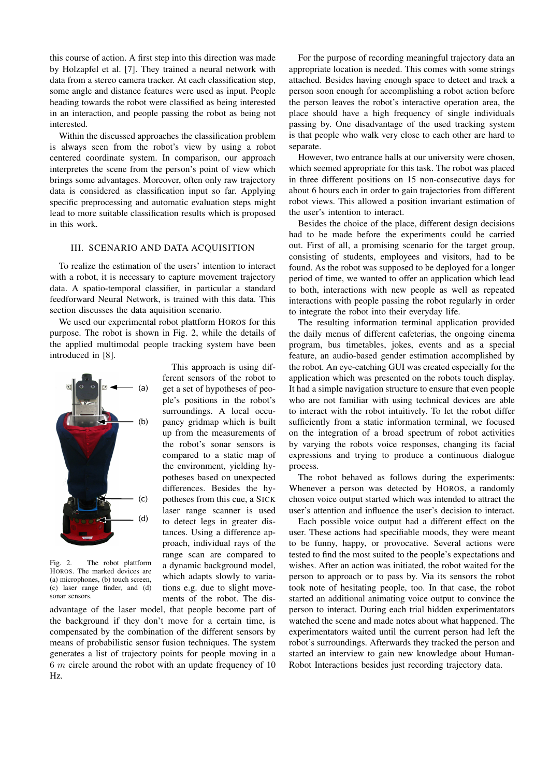this course of action. A first step into this direction was made by Holzapfel et al. [7]. They trained a neural network with data from a stereo camera tracker. At each classification step, some angle and distance features were used as input. People heading towards the robot were classified as being interested in an interaction, and people passing the robot as being not interested.

Within the discussed approaches the classification problem is always seen from the robot's view by using a robot centered coordinate system. In comparison, our approach interpretes the scene from the person's point of view which brings some advantages. Moreover, often only raw trajectory data is considered as classification input so far. Applying specific preprocessing and automatic evaluation steps might lead to more suitable classification results which is proposed in this work.

# III. SCENARIO AND DATA ACQUISITION

To realize the estimation of the users' intention to interact with a robot, it is necessary to capture movement trajectory data. A spatio-temporal classifier, in particular a standard feedforward Neural Network, is trained with this data. This section discusses the data aquisition scenario.

We used our experimental robot plattform HOROS for this purpose. The robot is shown in Fig. 2, while the details of the applied multimodal people tracking system have been introduced in [8].

This approach is using dif-

ferent sensors of the robot to get a set of hypotheses of people's positions in the robot's surroundings. A local occupancy gridmap which is built up from the measurements of the robot's sonar sensors is compared to a static map of the environment, yielding hypotheses based on unexpected differences. Besides the hypotheses from this cue, a SICK laser range scanner is used to detect legs in greater distances. Using a difference approach, individual rays of the range scan are compared to a dynamic background model, which adapts slowly to variations e.g. due to slight movements of the robot. The dis-



Fig. 2. The robot plattform HOROS. The marked devices are (a) microphones, (b) touch screen, (c) laser range finder, and (d) sonar sensors.

advantage of the laser model, that people become part of the background if they don't move for a certain time, is compensated by the combination of the different sensors by means of probabilistic sensor fusion techniques. The system generates a list of trajectory points for people moving in a 6 m circle around the robot with an update frequency of 10 Hz.

For the purpose of recording meaningful trajectory data an appropriate location is needed. This comes with some strings attached. Besides having enough space to detect and track a person soon enough for accomplishing a robot action before the person leaves the robot's interactive operation area, the place should have a high frequency of single individuals passing by. One disadvantage of the used tracking system is that people who walk very close to each other are hard to separate.

However, two entrance halls at our university were chosen, which seemed appropriate for this task. The robot was placed in three different positions on 15 non-consecutive days for about 6 hours each in order to gain trajectories from different robot views. This allowed a position invariant estimation of the user's intention to interact.

Besides the choice of the place, different design decisions had to be made before the experiments could be carried out. First of all, a promising scenario for the target group, consisting of students, employees and visitors, had to be found. As the robot was supposed to be deployed for a longer period of time, we wanted to offer an application which lead to both, interactions with new people as well as repeated interactions with people passing the robot regularly in order to integrate the robot into their everyday life.

The resulting information terminal application provided the daily menus of different cafeterias, the ongoing cinema program, bus timetables, jokes, events and as a special feature, an audio-based gender estimation accomplished by the robot. An eye-catching GUI was created especially for the application which was presented on the robots touch display. It had a simple navigation structure to ensure that even people who are not familiar with using technical devices are able to interact with the robot intuitively. To let the robot differ sufficiently from a static information terminal, we focused on the integration of a broad spectrum of robot activities by varying the robots voice responses, changing its facial expressions and trying to produce a continuous dialogue process.

The robot behaved as follows during the experiments: Whenever a person was detected by HOROS, a randomly chosen voice output started which was intended to attract the user's attention and influence the user's decision to interact.

Each possible voice output had a different effect on the user. These actions had specifiable moods, they were meant to be funny, happy, or provocative. Several actions were tested to find the most suited to the people's expectations and wishes. After an action was initiated, the robot waited for the person to approach or to pass by. Via its sensors the robot took note of hesitating people, too. In that case, the robot started an additional animating voice output to convince the person to interact. During each trial hidden experimentators watched the scene and made notes about what happened. The experimentators waited until the current person had left the robot's surroundings. Afterwards they tracked the person and started an interview to gain new knowledge about Human-Robot Interactions besides just recording trajectory data.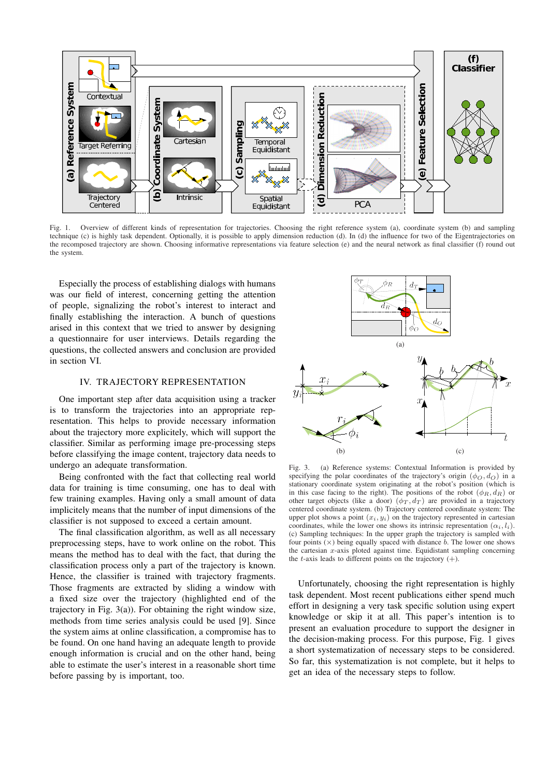

Fig. 1. Overview of different kinds of representation for trajectories. Choosing the right reference system (a), coordinate system (b) and sampling technique (c) is highly task dependent. Optionally, it is possible to apply dimension reduction (d). In (d) the influence for two of the Eigentrajectories on the recomposed trajectory are shown. Choosing informative representations via feature selection (e) and the neural network as final classifier (f) round out the system.

Especially the process of establishing dialogs with humans was our field of interest, concerning getting the attention of people, signalizing the robot's interest to interact and finally establishing the interaction. A bunch of questions arised in this context that we tried to answer by designing a questionnaire for user interviews. Details regarding the questions, the collected answers and conclusion are provided in section VI.

#### IV. TRAJECTORY REPRESENTATION

One important step after data acquisition using a tracker is to transform the trajectories into an appropriate representation. This helps to provide necessary information about the trajectory more explicitely, which will support the classifier. Similar as performing image pre-processing steps before classifying the image content, trajectory data needs to undergo an adequate transformation.

Being confronted with the fact that collecting real world data for training is time consuming, one has to deal with few training examples. Having only a small amount of data implicitely means that the number of input dimensions of the classifier is not supposed to exceed a certain amount.

The final classification algorithm, as well as all necessary preprocessing steps, have to work online on the robot. This means the method has to deal with the fact, that during the classification process only a part of the trajectory is known. Hence, the classifier is trained with trajectory fragments. Those fragments are extracted by sliding a window with a fixed size over the trajectory (highlighted end of the trajectory in Fig. 3(a)). For obtaining the right window size, methods from time series analysis could be used [9]. Since the system aims at online classification, a compromise has to be found. On one hand having an adequate length to provide enough information is crucial and on the other hand, being able to estimate the user's interest in a reasonable short time before passing by is important, too.



Fig. 3. (a) Reference systems: Contextual Information is provided by specifying the polar coordinates of the trajectory's origin  $(\phi_O, d_O)$  in a stationary coordinate system originating at the robot's position (which is in this case facing to the right). The positions of the robot  $(\phi_R, d_R)$  or other target objects (like a door)  $(\phi_T, d_T)$  are provided in a trajectory centered coordinate system. (b) Trajectory centered coordinate system: The upper plot shows a point  $(x_i, y_i)$  on the trajectory represented in cartesian coordinates, while the lower one shows its intrinsic representation  $(\alpha_i, l_i)$ . (c) Sampling techniques: In the upper graph the trajectory is sampled with four points  $(x)$  being equally spaced with distance  $b$ . The lower one shows the cartesian  $x$ -axis ploted against time. Equidistant sampling concerning the t-axis leads to different points on the trajectory  $(+)$ .

Unfortunately, choosing the right representation is highly task dependent. Most recent publications either spend much effort in designing a very task specific solution using expert knowledge or skip it at all. This paper's intention is to present an evaluation procedure to support the designer in the decision-making process. For this purpose, Fig. 1 gives a short systematization of necessary steps to be considered. So far, this systematization is not complete, but it helps to get an idea of the necessary steps to follow.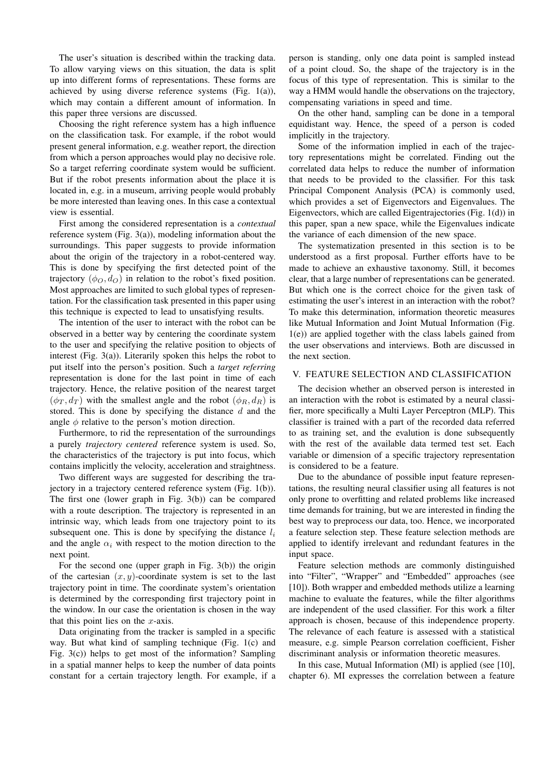The user's situation is described within the tracking data. To allow varying views on this situation, the data is split up into different forms of representations. These forms are achieved by using diverse reference systems (Fig. 1(a)), which may contain a different amount of information. In this paper three versions are discussed.

Choosing the right reference system has a high influence on the classification task. For example, if the robot would present general information, e.g. weather report, the direction from which a person approaches would play no decisive role. So a target referring coordinate system would be sufficient. But if the robot presents information about the place it is located in, e.g. in a museum, arriving people would probably be more interested than leaving ones. In this case a contextual view is essential.

First among the considered representation is a *contextual* reference system (Fig. 3(a)), modeling information about the surroundings. This paper suggests to provide information about the origin of the trajectory in a robot-centered way. This is done by specifying the first detected point of the trajectory  $(\phi_O, d_O)$  in relation to the robot's fixed position. Most approaches are limited to such global types of representation. For the classification task presented in this paper using this technique is expected to lead to unsatisfying results.

The intention of the user to interact with the robot can be observed in a better way by centering the coordinate system to the user and specifying the relative position to objects of interest (Fig. 3(a)). Literarily spoken this helps the robot to put itself into the person's position. Such a *target referring* representation is done for the last point in time of each trajectory. Hence, the relative position of the nearest target  $(\phi_T, d_T)$  with the smallest angle and the robot  $(\phi_B, d_R)$  is stored. This is done by specifying the distance d and the angle  $\phi$  relative to the person's motion direction.

Furthermore, to rid the representation of the surroundings a purely *trajectory centered* reference system is used. So, the characteristics of the trajectory is put into focus, which contains implicitly the velocity, acceleration and straightness.

Two different ways are suggested for describing the trajectory in a trajectory centered reference system (Fig. 1(b)). The first one (lower graph in Fig. 3(b)) can be compared with a route description. The trajectory is represented in an intrinsic way, which leads from one trajectory point to its subsequent one. This is done by specifying the distance  $l_i$ and the angle  $\alpha_i$  with respect to the motion direction to the next point.

For the second one (upper graph in Fig. 3(b)) the origin of the cartesian  $(x, y)$ -coordinate system is set to the last trajectory point in time. The coordinate system's orientation is determined by the corresponding first trajectory point in the window. In our case the orientation is chosen in the way that this point lies on the  $x$ -axis.

Data originating from the tracker is sampled in a specific way. But what kind of sampling technique (Fig. 1(c) and Fig. 3(c)) helps to get most of the information? Sampling in a spatial manner helps to keep the number of data points constant for a certain trajectory length. For example, if a person is standing, only one data point is sampled instead of a point cloud. So, the shape of the trajectory is in the focus of this type of representation. This is similar to the way a HMM would handle the observations on the trajectory, compensating variations in speed and time.

On the other hand, sampling can be done in a temporal equidistant way. Hence, the speed of a person is coded implicitly in the trajectory.

Some of the information implied in each of the trajectory representations might be correlated. Finding out the correlated data helps to reduce the number of information that needs to be provided to the classifier. For this task Principal Component Analysis (PCA) is commonly used, which provides a set of Eigenvectors and Eigenvalues. The Eigenvectors, which are called Eigentrajectories (Fig. 1(d)) in this paper, span a new space, while the Eigenvalues indicate the variance of each dimension of the new space.

The systematization presented in this section is to be understood as a first proposal. Further efforts have to be made to achieve an exhaustive taxonomy. Still, it becomes clear, that a large number of representations can be generated. But which one is the correct choice for the given task of estimating the user's interest in an interaction with the robot? To make this determination, information theoretic measures like Mutual Information and Joint Mutual Information (Fig. 1(e)) are applied together with the class labels gained from the user observations and interviews. Both are discussed in the next section.

# V. FEATURE SELECTION AND CLASSIFICATION

The decision whether an observed person is interested in an interaction with the robot is estimated by a neural classifier, more specifically a Multi Layer Perceptron (MLP). This classifier is trained with a part of the recorded data referred to as training set, and the evalution is done subsequently with the rest of the available data termed test set. Each variable or dimension of a specific trajectory representation is considered to be a feature.

Due to the abundance of possible input feature representations, the resulting neural classifier using all features is not only prone to overfitting and related problems like increased time demands for training, but we are interested in finding the best way to preprocess our data, too. Hence, we incorporated a feature selection step. These feature selection methods are applied to identify irrelevant and redundant features in the input space.

Feature selection methods are commonly distinguished into "Filter", "Wrapper" and "Embedded" approaches (see [10]). Both wrapper and embedded methods utilize a learning machine to evaluate the features, while the filter algorithms are independent of the used classifier. For this work a filter approach is chosen, because of this independence property. The relevance of each feature is assessed with a statistical measure, e.g. simple Pearson correlation coefficient, Fisher discriminant analysis or information theoretic measures.

In this case, Mutual Information (MI) is applied (see [10], chapter 6). MI expresses the correlation between a feature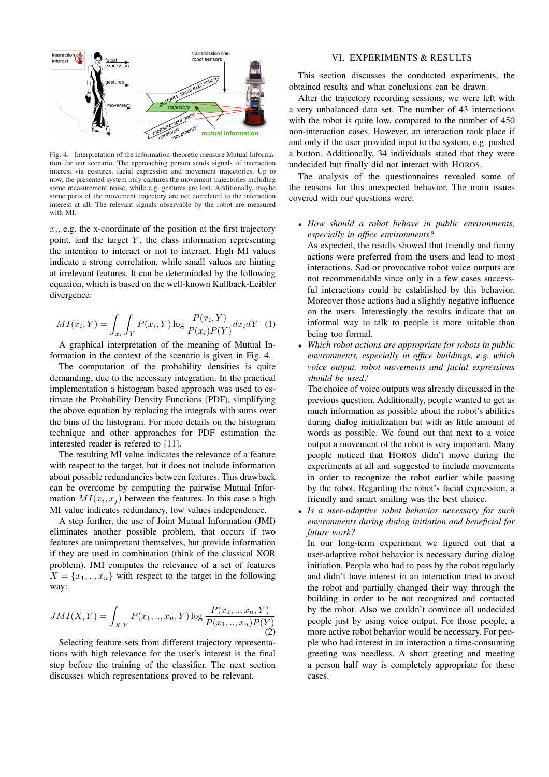

Fig. 4. Interpretation of the information-theoretic measure Mutual Information for our scenario. The approaching person sends signals of interaction interest via gestures, facial expression and movement trajectories. Up to now, the presented system only captures the movement trajectories including some measurement noise, while e.g. gestures are lost. Additionally, maybe some parts of the movement trajectory are not correlated to the interaction interest at all. The relevant signals observable by the robot are measured with MI.

 $x_i$ , e.g. the x-coordinate of the position at the first trajectory point, and the target  $Y$ , the class information representing the intention to interact or not to interact. High MI values indicate a strong correlation, while small values are hinting at irrelevant features. It can be determinded by the following equation, which is based on the well-known Kullback-Leibler divergence:

$$
MI(x_i, Y) = \int_{x_i} \int_Y P(x_i, Y) \log \frac{P(x_i, Y)}{P(x_i)P(Y)} dx_i dY
$$
 (1)

A graphical interpretation of the meaning of Mutual Information in the context of the scenario is given in Fig. 4.

The computation of the probability densities is quite demanding, due to the necessary integration. In the practical implementation a histogram based approach was used to estimate the Probability Density Functions (PDF), simplifying the above equation by replacing the integrals with sums over the bins of the histogram. For more details on the histogram technique and other approaches for PDF estimation the interested reader is refered to [11].

The resulting MI value indicates the relevance of a feature with respect to the target, but it does not include information about possible redundancies between features. This drawback can be overcome by computing the pairwise Mutual Information  $MI(x_i, x_j)$  between the features. In this case a high MI value indicates redundancy, low values independence.

A step further, the use of Joint Mutual Information (JMI) eliminates another possible problem, that occurs if two features are unimportant themselves, but provide information if they are used in combination (think of the classical XOR problem). JMI computes the relevance of a set of features  $X = \{x_1, ..., x_n\}$  with respect to the target in the following way:

$$
JMI(X,Y) = \int_{X,Y} P(x_1,..,x_n, Y) \log \frac{P(x_1,..,x_n, Y)}{P(x_1,..,x_n)P(Y)} \tag{2}
$$

Selecting feature sets from different trajectory representations with high relevance for the user's interest is the final step before the training of the classifier. The next section discusses which representations proved to be relevant.

## VI. EXPERIMENTS & RESULTS

This section discusses the conducted experiments, the obtained results and what conclusions can be drawn.

After the trajectory recording sessions, we were left with a very unbalanced data set. The number of 43 interactions with the robot is quite low, compared to the number of 450 non-interaction cases. However, an interaction took place if and only if the user provided input to the system, e.g. pushed a button. Additionally, 34 individuals stated that they were undecided but finally did not interact with HOROS.

The analysis of the questionnaires revealed some of the reasons for this unexpected behavior. The main issues covered with our questions were:

• *How should a robot behave in public environments, especially in office environments?*

As expected, the results showed that friendly and funny actions were preferred from the users and lead to most interactions. Sad or provocative robot voice outputs are not recommendable since only in a few cases successful interactions could be established by this behavior. Moreover those actions had a slightly negative influence on the users. Interestingly the results indicate that an informal way to talk to people is more suitable than being too formal.

• *Which robot actions are appropriate for robots in public environments, especially in office buildings, e.g. which voice output, robot movements and facial expressions should be used?*

The choice of voice outputs was already discussed in the previous question. Additionally, people wanted to get as much information as possible about the robot's abilities during dialog initialization but with as little amount of words as possible. We found out that next to a voice output a movement of the robot is very important. Many people noticed that HOROS didn't move during the experiments at all and suggested to include movements in order to recognize the robot earlier while passing by the robot. Regarding the robot's facial expression, a friendly and smart smiling was the best choice.

• *Is a user-adaptive robot behavior necessary for such environments during dialog initiation and beneficial for future work?*

In our long-term experiment we figured out that a user-adaptive robot behavior is necessary during dialog initiation. People who had to pass by the robot regularly and didn't have interest in an interaction tried to avoid the robot and partially changed their way through the building in order to be not recognized and contacted by the robot. Also we couldn't convince all undecided people just by using voice output. For those people, a more active robot behavior would be necessary. For people who had interest in an interaction a time-consuming greeting was needless. A short greeting and meeting a person half way is completely appropriate for these cases.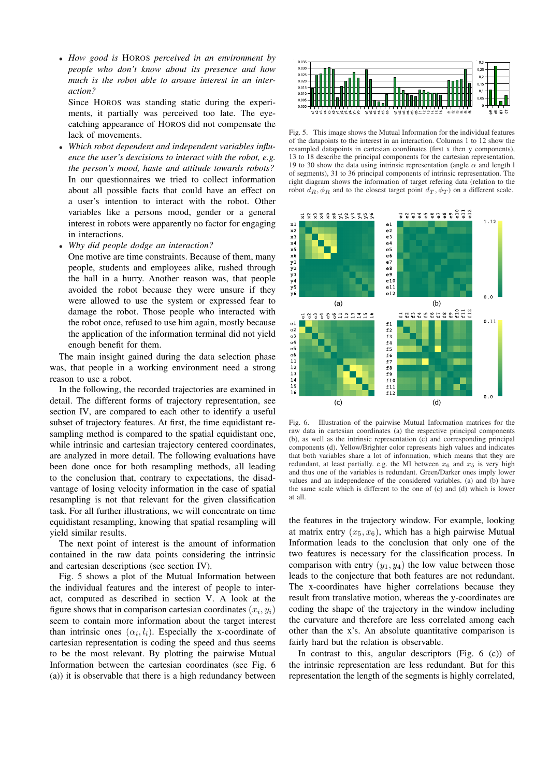• *How good is* HOROS *perceived in an environment by people who don't know about its presence and how much is the robot able to arouse interest in an interaction?*

Since HOROS was standing static during the experiments, it partially was perceived too late. The eyecatching appearance of HOROS did not compensate the lack of movements.

- *Which robot dependent and independent variables influence the user's descisions to interact with the robot, e.g. the person's mood, haste and attitude towards robots?* In our questionnaires we tried to collect information about all possible facts that could have an effect on a user's intention to interact with the robot. Other variables like a persons mood, gender or a general interest in robots were apparently no factor for engaging in interactions.
- *Why did people dodge an interaction?*

One motive are time constraints. Because of them, many people, students and employees alike, rushed through the hall in a hurry. Another reason was, that people avoided the robot because they were unsure if they were allowed to use the system or expressed fear to damage the robot. Those people who interacted with the robot once, refused to use him again, mostly because the application of the information terminal did not yield enough benefit for them.

The main insight gained during the data selection phase was, that people in a working environment need a strong reason to use a robot.

In the following, the recorded trajectories are examined in detail. The different forms of trajectory representation, see section IV, are compared to each other to identify a useful subset of trajectory features. At first, the time equidistant resampling method is compared to the spatial equidistant one, while intrinsic and cartesian trajectory centered coordinates, are analyzed in more detail. The following evaluations have been done once for both resampling methods, all leading to the conclusion that, contrary to expectations, the disadvantage of losing velocity information in the case of spatial resampling is not that relevant for the given classification task. For all further illustrations, we will concentrate on time equidistant resampling, knowing that spatial resampling will yield similar results.

The next point of interest is the amount of information contained in the raw data points considering the intrinsic and cartesian descriptions (see section IV).

Fig. 5 shows a plot of the Mutual Information between the individual features and the interest of people to interact, computed as described in section V. A look at the figure shows that in comparison cartesian coordinates  $(x_i, y_i)$ seem to contain more information about the target interest than intrinsic ones  $(\alpha_i, l_i)$ . Especially the x-coordinate of cartesian representation is coding the speed and thus seems to be the most relevant. By plotting the pairwise Mutual Information between the cartesian coordinates (see Fig. 6 (a)) it is observable that there is a high redundancy between



Fig. 5. This image shows the Mutual Information for the individual features of the datapoints to the interest in an interaction. Columns 1 to 12 show the resampled datapoints in cartesian coordinates (first x then y components), 13 to 18 describe the principal components for the cartesian representation, 19 to 30 show the data using intrinsic representation (angle  $\alpha$  and length l of segments), 31 to 36 principal components of intrinsic representation. The right diagram shows the information of target refering data (relation to the robot  $d_R$ ,  $\phi_R$  and to the closest target point  $d_T$ ,  $\phi_T$ ) on a different scale.



Fig. 6. Illustration of the pairwise Mutual Information matrices for the raw data in cartesian coordinates (a) the respective principal components (b), as well as the intrinsic representation (c) and corresponding principal components (d). Yellow/Brighter color represents high values and indicates that both variables share a lot of information, which means that they are redundant, at least partially. e.g. the MI between  $x_6$  and  $x_5$  is very high and thus one of the variables is redundant. Green/Darker ones imply lower values and an independence of the considered variables. (a) and (b) have the same scale which is different to the one of (c) and (d) which is lower at all.

the features in the trajectory window. For example, looking at matrix entry  $(x_5, x_6)$ , which has a high pairwise Mutual Information leads to the conclusion that only one of the two features is necessary for the classification process. In comparison with entry  $(y_1, y_4)$  the low value between those leads to the conjecture that both features are not redundant. The x-coordinates have higher correlations because they result from translative motion, whereas the y-coordinates are coding the shape of the trajectory in the window including the curvature and therefore are less correlated among each other than the x's. An absolute quantitative comparison is fairly hard but the relation is observable.

In contrast to this, angular descriptors (Fig. 6 (c)) of the intrinsic representation are less redundant. But for this representation the length of the segments is highly correlated,